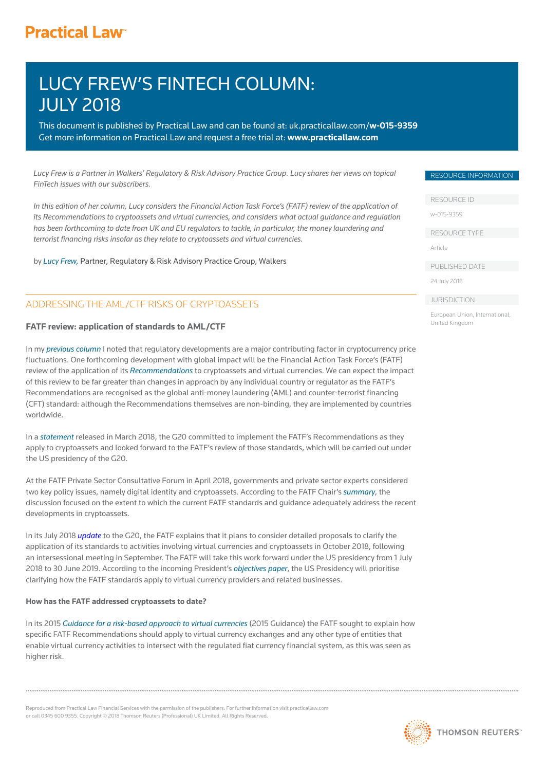# **Practical Law<sup>®</sup>**

# LUCY FREW'S FINTECH COLUMN: JULY 2018

This document is published by Practical Law and can be found at[: uk.practicallaw.com/](uk.practicallaw.com/w-015-9359)**w-015-9359** Get more information on Practical Law and request a free trial at: **www.practicallaw.com**

*Lucy Frew is a Partner in Walkers' Regulatory & Risk Advisory Practice Group. Lucy shares her views on topical FinTech issues with our subscribers.*

*In this edition of her column, Lucy considers the Financial Action Task Force's (FATF) review of the application of its Recommendations to cryptoassets and virtual currencies, and considers what actual guidance and regulation has been forthcoming to date from UK and EU regulators to tackle, in particular, the money laundering and*  terrorist financing risks insofar as they relate to cryptoassets and virtual currencies.

by *[Lucy Frew,](https://www.walkersglobal.com/index.php/component/people/professional/310)* Partner, Regulatory & Risk Advisory Practice Group, Walkers

# ADDRESSING THE AML/CTF RISKS OF CRYPTOASSETS

## **FATF review: application of standards to AML/CTF**

In my *[previous column](https://1.next.westlaw.com/Document/I7f7f5e48085711e89bf099c0ee06c731/View/FullText.html?originationContext=document&transitionType=DocumentItem&contextData=(sc.Default))* I noted that regulatory developments are a major contributing factor in cryptocurrency price fluctuations. One forthcoming development with global impact will be the Financial Action Task Force's (FATF) review of the application of its *[Recommendations](http://www.fatf-gafi.org/publications/fatfrecommendations/documents/fatf-recommendations.html)* to cryptoassets and virtual currencies. We can expect the impact of this review to be far greater than changes in approach by any individual country or regulator as the FATF's Recommendations are recognised as the global anti-money laundering (AML) and counter-terrorist financing (CFT) standard: although the Recommendations themselves are non-binding, they are implemented by countries worldwide.

In a *[statement](http://www.g20.utoronto.ca/2018/2018-03-30-g20_finance_communique-en.pdf)* released in March 2018, the G20 committed to implement the FATF's Recommendations as they apply to cryptoassets and looked forward to the FATF's review of those standards, which will be carried out under the US presidency of the G20.

At the FATF Private Sector Consultative Forum in April 2018, governments and private sector experts considered two key policy issues, namely digital identity and cryptoassets. According to the FATF Chair's *[summary](http://www.fatf-gafi.org/publications/fatfgeneral/documents/summary-fintech-regtech-apr-2018.html)*, the discussion focused on the extent to which the current FATF standards and guidance adequately address the recent developments in cryptoassets.

In its July 2018 *[update](http://www.fatf-gafi.org/media/fatf/documents/reports/FATF-Report-G20-FM-CBG-July-2018.pdf)* to the G20, the FATF explains that it plans to consider detailed proposals to clarify the application of its standards to activities involving virtual currencies and cryptoassets in October 2018, following an intersessional meeting in September. The FATF will take this work forward under the US presidency from 1 July 2018 to 30 June 2019. According to the incoming President's *[objectives paper](http://www.fatf-gafi.org/media/fatf/content/images/Objectives-FATF-XXX-(2018-2019).pdf)*, the US Presidency will prioritise clarifying how the FATF standards apply to virtual currency providers and related businesses.

#### **How has the FATF addressed cryptoassets to date?**

In its 2015 *[Guidance for a risk-based approach to virtual currencies](http://www.fatf-gafi.org/media/fatf/documents/reports/Guidance-RBA-Virtual-Currencies.pdf)* (2015 Guidance) the FATF sought to explain how specific FATF Recommendations should apply to virtual currency exchanges and any other type of entities that enable virtual currency activities to intersect with the regulated fiat currency financial system, as this was seen as higher risk.

Reproduced from Practical Law Financial Services with the permission of the publishers. For further information visit practicallaw.com or call 0345 600 9355. Copyright © 2018 Thomson Reuters (Professional) UK Limited. All Rights Reserved.



RESOURCE ID

[w-015-9359](uk.practicallaw.com/w-015-9359) 

RESOURCE TYPE

Article

PUBLISHED DATE

24 July 2018

**JURISDICTION** 

European Union, International, United Kingdom

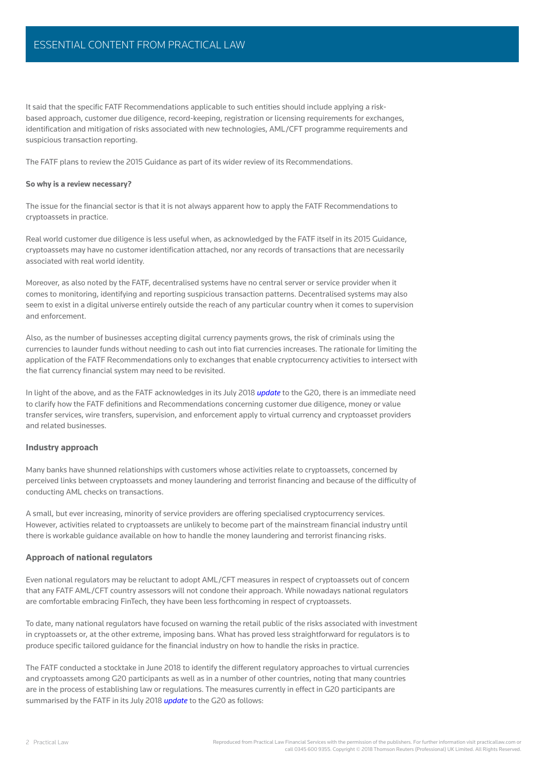# ESSENTIAL CONTENT FROM PRACTICAL LAW

It said that the specific FATF Recommendations applicable to such entities should include applying a riskbased approach, customer due diligence, record-keeping, registration or licensing requirements for exchanges, identification and mitigation of risks associated with new technologies, AML/CFT programme requirements and suspicious transaction reporting.

The FATF plans to review the 2015 Guidance as part of its wider review of its Recommendations.

#### **So why is a review necessary?**

The issue for the financial sector is that it is not always apparent how to apply the FATF Recommendations to cryptoassets in practice.

Real world customer due diligence is less useful when, as acknowledged by the FATF itself in its 2015 Guidance, cryptoassets may have no customer identification attached, nor any records of transactions that are necessarily associated with real world identity.

Moreover, as also noted by the FATF, decentralised systems have no central server or service provider when it comes to monitoring, identifying and reporting suspicious transaction patterns. Decentralised systems may also seem to exist in a digital universe entirely outside the reach of any particular country when it comes to supervision and enforcement.

Also, as the number of businesses accepting digital currency payments grows, the risk of criminals using the currencies to launder funds without needing to cash out into fiat currencies increases. The rationale for limiting the application of the FATF Recommendations only to exchanges that enable cryptocurrency activities to intersect with the fiat currency financial system may need to be revisited.

In light of the above, and as the FATF acknowledges in its July 2018 *[update](http://www.fatf-gafi.org/media/fatf/documents/reports/FATF-Report-G20-FM-CBG-July-2018.pdf)* to the G20, there is an immediate need to clarify how the FATF definitions and Recommendations concerning customer due diligence, money or value transfer services, wire transfers, supervision, and enforcement apply to virtual currency and cryptoasset providers and related businesses.

### **Industry approach**

Many banks have shunned relationships with customers whose activities relate to cryptoassets, concerned by perceived links between cryptoassets and money laundering and terrorist financing and because of the difficulty of conducting AML checks on transactions.

A small, but ever increasing, minority of service providers are offering specialised cryptocurrency services. However, activities related to cryptoassets are unlikely to become part of the mainstream financial industry until there is workable guidance available on how to handle the money laundering and terrorist financing risks.

#### **Approach of national regulators**

Even national regulators may be reluctant to adopt AML/CFT measures in respect of cryptoassets out of concern that any FATF AML/CFT country assessors will not condone their approach. While nowadays national regulators are comfortable embracing FinTech, they have been less forthcoming in respect of cryptoassets.

To date, many national regulators have focused on warning the retail public of the risks associated with investment in cryptoassets or, at the other extreme, imposing bans. What has proved less straightforward for regulators is to produce specific tailored quidance for the financial industry on how to handle the risks in practice.

The FATF conducted a stocktake in June 2018 to identify the different regulatory approaches to virtual currencies and cryptoassets among G20 participants as well as in a number of other countries, noting that many countries are in the process of establishing law or regulations. The measures currently in effect in G20 participants are summarised by the FATF in its July 2018 *[update](http://www.fatf-gafi.org/media/fatf/documents/reports/FATF-Report-G20-FM-CBG-July-2018.pdf)* to the G20 as follows: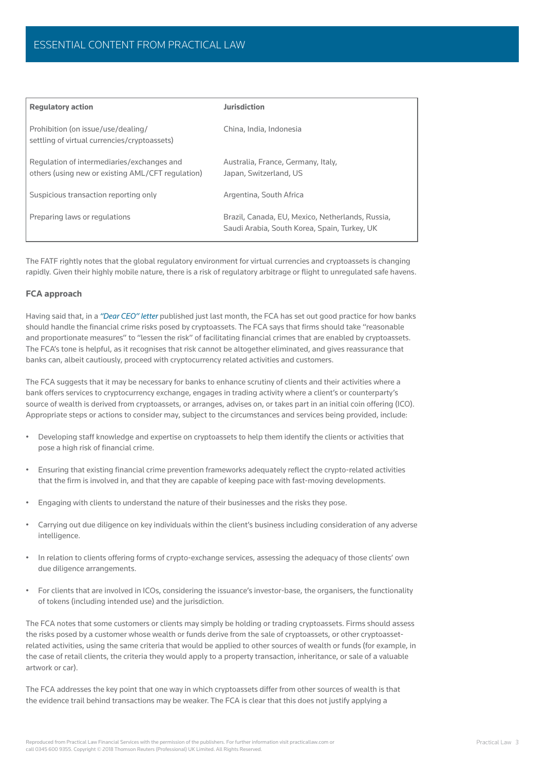| <b>Requlatory action</b>                                                                        | <b>Jurisdiction</b>                                                                              |
|-------------------------------------------------------------------------------------------------|--------------------------------------------------------------------------------------------------|
| Prohibition (on issue/use/dealing/<br>settling of virtual currencies/cryptoassets)              | China, India, Indonesia                                                                          |
| Regulation of intermediaries/exchanges and<br>others (using new or existing AML/CFT regulation) | Australia, France, Germany, Italy,<br>Japan, Switzerland, US                                     |
| Suspicious transaction reporting only                                                           | Argentina, South Africa                                                                          |
| Preparing laws or regulations                                                                   | Brazil, Canada, EU, Mexico, Netherlands, Russia,<br>Saudi Arabia, South Korea, Spain, Turkey, UK |

The FATF rightly notes that the global regulatory environment for virtual currencies and cryptoassets is changing rapidly. Given their highly mobile nature, there is a risk of regulatory arbitrage or flight to unregulated safe havens.

## **FCA approach**

Having said that, in a *["Dear CEO" letter](https://www.fca.org.uk/publication/correspondence/dear-ceo-letter-cryptoassets-financial-crime.pdf)* published just last month, the FCA has set out good practice for how banks should handle the financial crime risks posed by cryptoassets. The FCA says that firms should take "reasonable and proportionate measures" to "lessen the risk" of facilitating financial crimes that are enabled by cryptoassets. The FCA's tone is helpful, as it recognises that risk cannot be altogether eliminated, and gives reassurance that banks can, albeit cautiously, proceed with cryptocurrency related activities and customers.

The FCA suggests that it may be necessary for banks to enhance scrutiny of clients and their activities where a bank offers services to cryptocurrency exchange, engages in trading activity where a client's or counterparty's source of wealth is derived from cryptoassets, or arranges, advises on, or takes part in an initial coin offering (ICO). Appropriate steps or actions to consider may, subject to the circumstances and services being provided, include:

- Developing staff knowledge and expertise on cryptoassets to help them identify the clients or activities that pose a high risk of financial crime.
- Ensuring that existing financial crime prevention frameworks adequately reflect the crypto-related activities that the firm is involved in, and that they are capable of keeping pace with fast-moving developments.
- Engaging with clients to understand the nature of their businesses and the risks they pose.
- Carrying out due diligence on key individuals within the client's business including consideration of any adverse intelligence.
- In relation to clients offering forms of crypto-exchange services, assessing the adequacy of those clients' own due diligence arrangements.
- For clients that are involved in ICOs, considering the issuance's investor-base, the organisers, the functionality of tokens (including intended use) and the jurisdiction.

The FCA notes that some customers or clients may simply be holding or trading cryptoassets. Firms should assess the risks posed by a customer whose wealth or funds derive from the sale of cryptoassets, or other cryptoassetrelated activities, using the same criteria that would be applied to other sources of wealth or funds (for example, in the case of retail clients, the criteria they would apply to a property transaction, inheritance, or sale of a valuable artwork or car).

The FCA addresses the key point that one way in which cryptoassets differ from other sources of wealth is that the evidence trail behind transactions may be weaker. The FCA is clear that this does not justify applying a